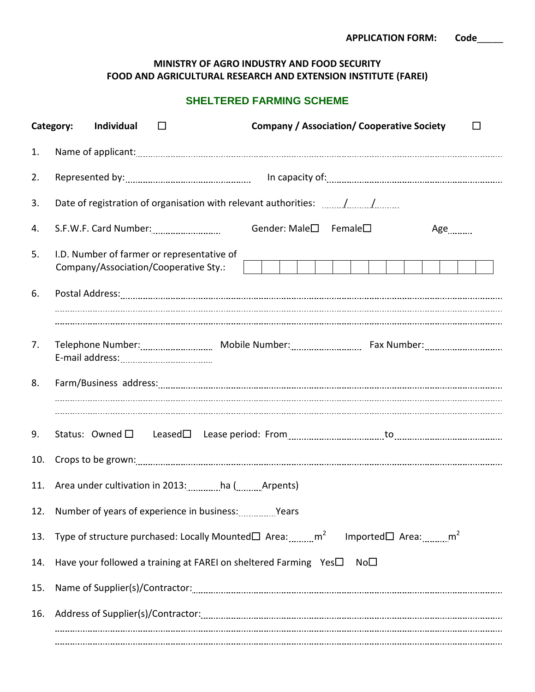## **MINISTRY OF AGRO INDUSTRY AND FOOD SECURITY FOOD AND AGRICULTURAL RESEARCH AND EXTENSION INSTITUTE (FAREI)**

## **SHELTERED FARMING SCHEME**

|     | <b>Company / Association/ Cooperative Society</b><br>Category:<br>Individual<br>$\Box$<br>□                       |  |  |  |
|-----|-------------------------------------------------------------------------------------------------------------------|--|--|--|
| 1.  |                                                                                                                   |  |  |  |
| 2.  |                                                                                                                   |  |  |  |
| 3.  | Date of registration of organisation with relevant authorities: //                                                |  |  |  |
| 4.  | Gender: Male□ Female□<br>$Age$ <sub></sub>                                                                        |  |  |  |
| 5.  | I.D. Number of farmer or representative of<br>Company/Association/Cooperative Sty.:                               |  |  |  |
| 6.  |                                                                                                                   |  |  |  |
|     |                                                                                                                   |  |  |  |
| 7.  |                                                                                                                   |  |  |  |
| 8.  |                                                                                                                   |  |  |  |
| 9.  |                                                                                                                   |  |  |  |
| 10. |                                                                                                                   |  |  |  |
| 11. | Area under cultivation in 2013: ha ( Arpents)                                                                     |  |  |  |
|     | 12. Number of years of experience in business: Wears                                                              |  |  |  |
| 13. | Type of structure purchased: Locally Mounted $\square$ Area: $\text{mm}^2$ Imported $\square$ Area: $\text{mm}^2$ |  |  |  |
| 14. | Have your followed a training at FAREI on sheltered Farming Yes <sup>1</sup><br>No $\Box$                         |  |  |  |
| 15. |                                                                                                                   |  |  |  |
| 16. |                                                                                                                   |  |  |  |
|     |                                                                                                                   |  |  |  |